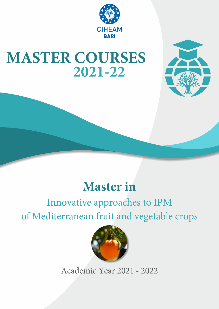

# **MASTER COURSES** 2021-22



## **Master** in

## Innovative approaches to IPM of Mediterranean fruit and vegetable crops



Academic Year 2021 - 2022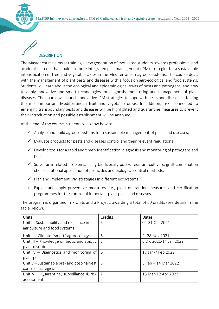

### **DESCRIPTION**

The Master course aims at training a new generation of motivated students towards professional and academic careers that could promote integrated pest management (IPM) strategies for a sustainable intensification of tree and vegetable crops in the Mediterranean agroecosystems. The course deals with the management of plant pests and diseases with a focus on agroecological and food systems. Students will learn about the ecological and epidemiological traits of pests and pathogens, and how to apply innovative and smart technologies for diagnosis, monitoring and management of plant diseases. The course will launch innovative IPM strategies to cope with pests and diseases affecting the most important Mediterranean fruit and vegetable crops. In addition, risks connected to emerging transboundary pests and diseases will be highlighted and quarantine measures to prevent their introduction and possible establishment will be analysed.

At the end of the course, students will know how to:

- $\checkmark$  Analyse and build agroecosystems for a sustainable management of pests and diseases;
- $\checkmark$  Evaluate products for pests and diseases control and their relevant regulations;
- $\checkmark$  Develop tools for a rapid and timely identification, diagnosis and monitoring of pathogens and pests;
- $\checkmark$  Solve farm-related problems, using biodiversity policy, resistant cultivars, graft combination choices, rational application of pesticides and biological control methods;
- $\checkmark$  Plan and implement IPM strategies in different ecosystems;
- $\checkmark$  Exploit and apply preventive measures, i.e., plant quarantine measures and certification programmes for the control of important plant pests and diseases.

The program is organized in 7 Units and a Project, awarding a total of 60 credits (see details in the table below).

| <b>Units</b>                                  | Credits | Dates                  |
|-----------------------------------------------|---------|------------------------|
| Unit I - Sustainability and resilience in     | 6       | 04-31 Oct 2021         |
| agriculture and food systems                  |         |                        |
| Unit II - Climate "smart" agroecology         | 6       | 2-28 Nov 2021          |
| Unit III - Knowledge on biotic and abiotic    | 8       | 6 Dic 2021-14 Jan 2022 |
| plant disorders                               |         |                        |
| Unit $IV - Diagramo$ ostics and monitoring of | 6       | 17 Jan-7 Feb 2022      |
| plant pests                                   |         |                        |
| Unit V – Sustainable pre- and post-harvest    | 8       | 8 Feb - 14 Mar 2022    |
| control strategies                            |         |                        |
| Unit VI - Quarantine, surveillance & risk   7 |         | 15 Mar-12 Apr 2022     |
| assessment                                    |         |                        |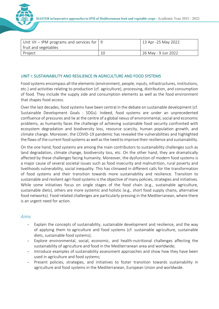

| Unit VII – IPM programs and services for $\vert$ 9 |    | 13 Apr -25 May 2022 |
|----------------------------------------------------|----|---------------------|
| fruit and vegetables                               |    |                     |
| Project                                            | 1C | 26 May - 9 Jun 2022 |

#### UNIT I: SUSTAINABILITY AND RESILIENCE IN AGRICULTURE AND FOOD SYSTEMS

Food systems encompass all the elements (environment, people, inputs, infrastructures, institutions, etc.) and activities relating to production (cf. agriculture), processing, distribution, and consumption of food. They include the supply side and consumption elements as well as the food environment that shapes food access.

Over the last decades, food systems have been central in the debate on sustainable development (cf. Sustainable Development Goals - SDGs). Indeed, food systems are under an unprecedented confluence of pressures and lie at the centre of a global nexus of environmental, social and economic problems, as humanity faces the challenge of achieving sustainable food security confronted with ecosystem degradation and biodiversity loss, resource scarcity, human population growth, and climate change. Moreover, the COVID-19 pandemic has revealed the vulnerabilities and highlighted the flaws of the current food systems as well as the need to improve their resilience and sustainability.

On the one hand, food systems are among the main contributors to sustainability challenges such as land degradation, climate change, biodiversity loss, etc. On the other hand, they are dramatically affected by these challenges facing humanity. Moreover, the dysfunction of modern food systems is a major cause of several societal issues such as food insecurity and malnutrition, rural poverty and livelihoods vulnerability, social inequality. This has climaxed in different calls for the transformation of food systems and their transition towards more sustainability and resilience. Transition to sustainable and resilient agri-food systems is the objective of many policies, strategies and initiatives. While some initiatives focus on single stages of the food chain (e.g., sustainable agriculture, sustainable diets), others are more systemic and holistic (e.g., short food supply chains, alternative food networks). Food-related challenges are particularly pressing in the Mediterranean, where there is an urgent need for action.

#### *Aims*

- Explain the concepts of sustainability, sustainable development and resilience, and the way of applying them to agriculture and food systems (cf. sustainable agriculture, sustainable diets, sustainable food systems);
- Explore environmental, social, economic, and health-nutritional challenges affecting the sustainability of agriculture and food in the Mediterranean area and worldwide;
- Introduce examples of sustainability assessment approaches and show how they have been used in agriculture and food systems;
- Present policies, strategies, and initiatives to foster transition towards sustainability in agriculture and food systems in the Mediterranean, European Union and worldwide.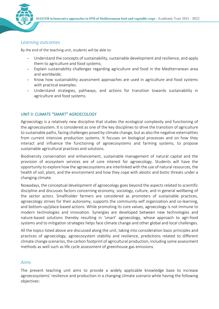

#### *Learning outcomes*

By the end of the teaching unit, students will be able to:

- Understand the concepts of sustainability, sustainable development and resilience, and apply them to agriculture and food systems;
- Explain sustainability challenges regarding agriculture and food in the Mediterranean area and worldwide;
- Know how sustainability assessment approaches are used in agriculture and food systems with practical examples.
- Understand strategies, pathways, and actions for transition towards sustainability in agriculture and food systems.

#### UNIT II: CLIMATE "SMART" AGROECOLOGY

Agroecology is a relatively new discipline that studies the ecological complexity and functioning of the agroecosystem. It is considered as one of the key disciplines to drive the transition of agriculture to sustainable paths, facing challenges posed by climate change, but as also the negative externalities from current intensive production systems. It focuses on biological processes and on how they interact and influence the functioning of agroecosystems and farming systems, to propose sustainable agricultural practices and solutions.

Biodiversity conservation and enhancement, sustainable management of natural capital and the provision of ecosystem services are of core interest for agroecology. Students will have the opportunity to explore how the agroecosystems are interlinked with the use of natural resources, the health of soil, plant, and the environment and how they cope with abiotic and biotic threats under a changing climate.

Nowadays, the conceptual development of agroecology goes beyond the aspects related to scientific discipline and discusses factors concerning economy, sociology, culture, and in general wellbeing of the sector actors. Smallholder farmers are considered as promoters of sustainable practices, agroecology strives for their autonomy, supports the community-self organization and co-learning, and bottom-up/place-based actions. While promoting its core values, agroecology is not immune to modern technologies and innovation. Synergies are developed between new technologies and nature-based solutions thereby resulting in 'smart' agroecology, whose approach to agri-food systems and to mitigation strategies helps face climate change and other global and local challenges.

All the topics listed above are discussed along the unit, taking into consideration basic principles and practices of agroecology, agroecosystem stability and resilience, predictions related to different climate change scenarios, the carbon footprint of agricultural production, including some assessment methods as well such as life cycle assessment of greenhouse gas emissions.

#### *Aims*

The present teaching unit aims to provide a widely applicable knowledge base to increase agroecosystems' resilience and production in a changing climate scenario while having the following objectives: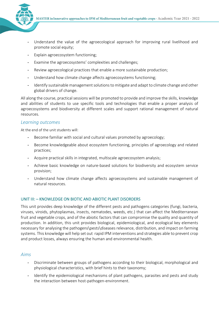

- Understand the value of the agroecological approach for improving rural livelihood and promote social equity;
- Explain agroecosystem functioning:
- Examine the agroecosystems' complexities and challenges;
- Review agroecological practices that enable a more sustainable production;
- Understand how climate change affects agroecosystems functioning;
- Identify sustainable management solutions to mitigate and adapt to climate change and other global drivers of change.

All along the course, practical sessions will be promoted to provide and improve the skills, knowledge and abilities of students to use specific tools and technologies that enable a proper analysis of agroecosystems and biodiversity at different scales and support rational management of natural resources.

#### *Learning outcomes*

At the end of the unit students will:

- Become familiar with social and cultural values promoted by agroecology;
- Become knowledgeable about ecosystem functioning, principles of agroecology and related practices;
- Acquire practical skills in integrated, multiscale agroecosystem analysis;
- Achieve basic knowledge on nature-based solutions for biodiversity and ecosystem service provision;
- Understand how climate change affects agroecosystems and sustainable management of natural resources.

#### UNIT III: – KNOWLEDGE ON BIOTIC AND ABIOTIC PLANT DISORDERS

This unit provides deep knowledge of the different pests and pathogens categories (fungi, bacteria, viruses, viroids, phytoplasmas, insects, nematodes, weeds, etc.) that can affect the Mediterranean fruit and vegetable crops, and of the abiotic factors that can compromise the quality and quantity of production. In addition, this unit provides biological, epidemiological, and ecological key elements necessary for analysing the pathogens\pests\diseases relevance, distribution, and impact on farming systems. This knowledge will help set out rapid IPM interventions and strategies able to prevent crop and product losses, always ensuring the human and environmental health.

#### *Aims*

- Discriminate between groups of pathogens according to their biological, morphological and physiological characteristics, with brief hints to their taxonomy;
- Identify the epidemiological mechanisms of plant pathogens, parasites and pests and study the interaction between host-pathogen-environment.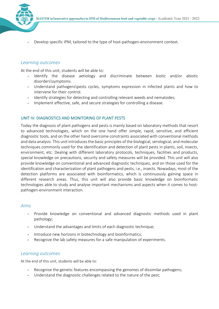

Develop specific IPM, tailored to the type of host-pathogen-environment context.

#### *Learning outcomes*

At the end of this unit, students will be able to:

- Identify the disease aetiology and discriminate between biotic and/or abiotic disorders\symptoms.
- Understand pathogens\pests cycles, symptoms expression in infected plants and how to intervene for their control.
- Identify strategies for detecting and controlling relevant weeds and nematodes;
- Implement effective, safe, and secure strategies for controlling a disease.

#### UNIT IV: DIAGNOSTICS AND MONITORING OF PLANT PESTS

Today the diagnosis of plant pathogens and pests is mainly based on laboratory methods that resort to advanced technologies, which on the one hand offer simple, rapid, sensitive, and efficient diagnostic tools, and on the other hand overcome constraints associated with conventional methods and data analysis. This unit introduces the basic principles of the biological, serological, and molecular techniques commonly used for the identification and detection of plant pests in plants, soil, insects, environment, etc. Dealing with different laboratory protocols, techniques, facilities and products, special knowledge on precautions, security and safety measures will be provided. This unit will also provide knowledge on conventional and advanced diagnostic techniques, and on those used for the identification and characterization of plant pathogens and pests, i.e., insects. Nowadays, most of the detection platforms are associated with bioinformatics, which is continuously gaining space in different research areas. Thus, this unit will also provide basic knowledge on bioinformatic technologies able to study and analyse important mechanisms and aspects when it comes to hostpathogen-environment interaction.

#### *Aims*

- Provide knowledge on conventional and advanced diagnostic methods used in plant pathology;
- Understand the advantages and limits of each diagnostic technique;
- Introduce new horizons in biotechnology and bioinformatics;
- Recognize the lab safety measures for a safe manipulation of experiments.

#### *Learning outcomes*

At the end of this unit, students will be able to:

- Recognise the genetic features encompassing the genomes of dissimilar pathogens;
- Understand the diagnostic challenges related to the nature of the pest;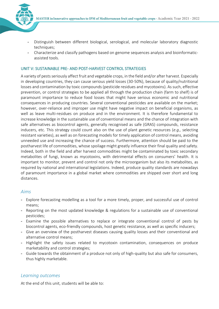

- Distinguish between different biological, serological, and molecular laboratory diagnostic techniques;
- Characterize and classify pathogens based on genome sequences analysis and bioinformaticassisted tools.

#### UNIT V: SUSTAINABLE PRE- AND POST-HARVEST CONTROL STRATEGIES

A variety of pests seriously affect fruit and vegetable crops, in the field and/or after harvest. Especially in developing countries, they can cause serious yield losses (30-50%), because of quality/nutritional losses and contamination by toxic compounds (pesticide residues and mycotoxins). As such, effective prevention, or control strategies to be applied all through the production chain (farm to shelf) is of paramount importance to reduce food losses that might have serious economic and nutritional consequences in producing countries. Several conventional pesticides are available on the market; however, over-reliance and improper use might have negative impact on beneficial organisms, as well as leave multi-residues on produce and in the environment. It is therefore fundamental to increase knowledge in the sustainable use of conventional means and the chance of integration with safe alternatives as biocontrol agents, generally recognised as safe (GRAS) compounds, resistance inducers, etc. This strategy could count also on the use of plant genetic resources (*e.g.,* selecting resistant varieties), as well as on forecasting models for timely application of control means, avoiding unneeded use and increasing the chance of success. Furthermore, attention should be paid to the postharvest life of commodities, whose spoilage might greatly influence their final quality and safety. Indeed, both in the field and after harvest commodities might be contaminated by toxic secondary metabolites of fungi, known as mycotoxins, with detrimental effects on consumers' health. It is important to monitor, prevent and control not only the microorganism but also its metabolites, as required by national and international legislations. Indeed, produce quality standards are nowadays of paramount importance in a global market where commodities are shipped over short and long distances.

#### *Aims*

- Explore forecasting modelling as a tool for a more timely, proper, and successful use of control means;
- Reporting on the most updated knowledge & regulations for a sustainable use of conventional pesticides;
- Examine the possible alternatives to replace or integrate conventional control of pests by biocontrol agents, eco-friendly compounds, host genetic resistance, as well as specific inducers;
- Give an overview of the postharvest diseases causing quality losses and their conventional and alternative control means;
- Highlight the safety issues related to mycotoxin contamination, consequences on produce marketability and control strategies;
- Guide towards the obtainment of a produce not only of high-quality but also safe for consumers, thus highly marketable.

#### *Learning outcomes*

At the end of this unit, students will be able to: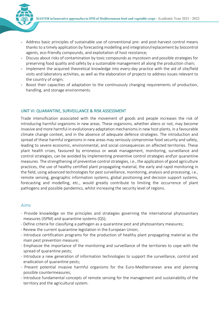- Address basic principles of sustainable use of conventional pre- and post-harvest control means thanks to a timely application by forecasting modelling and integration/replacement by biocontrol agents, eco-friendly compounds, and exploitation of host resistance;
- Discuss about risks of contamination by toxic compounds as mycotoxin and possible strategies for preserving food quality and safety by a sustainable management all along the production chain;
- Implement the acquired theoretical knowledge into every-day practice with the aid of site/field visits and laboratory activities, as well as the elaboration of projects to address issues relevant to the country of origin;
- Boost their capacities of adaptation to the continuously changing requirements of production, handling, and storage environments.

#### UNIT VI: QUARANTINE, SURVEILLANCE & RISK ASSESSMENT

Trade intensification associated with the movement of goods and people increases the risk of introducing harmful organisms in new areas. These organisms, whether aliens or not, may become invasive and more harmful in evolutionary adaptation mechanisms in new host plants, in a favourable climate change context, and in the absence of adequate defence strategies. The introduction and spread of these harmful organisms in new areas may seriously compromise food security and safety, leading to severe economic, environmental, and social consequences on affected territories. These plant health crises, favoured by erroneous or weak management, monitoring, surveillance and control strategies, can be avoided by implementing preventive control strategies and\or quarantine measures. The strengthening of preventive control strategies, i.e., the application of good agriculture practices, the use of healthy certified plant propagating material, the early and rapid monitoring in the field, using advanced technologies for pest surveillance, monitoring, analysis and processing, i.e., remote sensing, geographic information systems, global positioning and decision support systems, forecasting and modelling, etc., would greatly contribute to limiting the occurrence of plant pathogens and possible pandemics, whilst increasing the security level of regions.

#### *Aims*

- Provide knowledge on the principles and strategies governing the international phytosanitary measures (ISPM) and quarantine systems (QS);
- Define criteria for classifying a pathogen as a quarantine pest and phytosanitary measures;
- Review the current quarantine legislation in the European Union;
- Introduce certification programs for the production of healthy plant propagating material as the main pest prevention measure;
- Emphasize the importance of the monitoring and surveillance of the territories to cope with the spread of quarantine pests;
- Introduce a new generation of information technologies to support the surveillance, control and eradication of quarantine pests;
- Present potential invasive harmful organisms for the Euro-Mediterranean area and planning possible countermeasures;
- Introduce fundamental concepts of remote sensing for the management and sustainability of the territory and the agricultural system.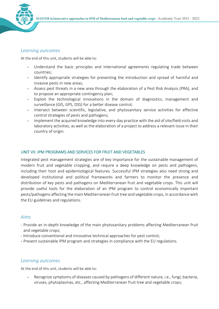

#### *Learning outcomes*

At the end of this unit, students will be able to:

- Understand the basic principles and international agreements regulating trade between countries;
- Identify appropriate strategies for preventing the introduction and spread of harmful and invasive pests in new areas;
- Assess pest threats in a new area through the elaboration of a Pest Risk Analysis (PRA), and to propose an appropriate contingency plan;
- Exploit the technological innovations in the domain of diagnostics, management and surveillance (GIS, GPS, DSS) for a better disease control;
- Intersect between scientific, legislative, and phytosanitary service activities for effective control strategies of pests and pathogens;
- Implement the acquired knowledge into every-day practice with the aid of site/field visits and laboratory activities, as well as the elaboration of a project to address a relevant issue in their country of origin.

#### UNIT VII: IPM PROGRAMS AND SERVICES FOR FRUIT AND VEGETABLES

Integrated pest management strategies are of key importance for the sustainable management of modern fruit and vegetable cropping, and require a deep knowledge on pests and pathogens, including their host and epidemiological features. Successful IPM strategies also need strong and developed institutional and political frameworks and farmers to monitor the presence and distribution of key pests and pathogens on Mediterranean fruit and vegetable crops. This unit will provide useful tools for the elaboration of an IPM program to control economically important pests/pathogens affecting the main Mediterranean fruit tree and vegetable crops, in accordance with the EU guidelines and regulations.

#### *Aims*

- Provide an in-depth knowledge of the main phytosanitary problems affecting Mediterranean fruit and vegetable crops;
- Introduce conventional and innovative technical approaches for pest control;
- Present sustainable IPM program and strategies in compliance with the EU regulations.

#### *Learning outcomes*

At the end of this unit, students will be able to:

Recognize symptoms of diseases caused by pathogens of different nature, i.e., fungi, bacteria, viruses, phytoplasmas, etc., affecting Mediterranean fruit tree and vegetable crops;